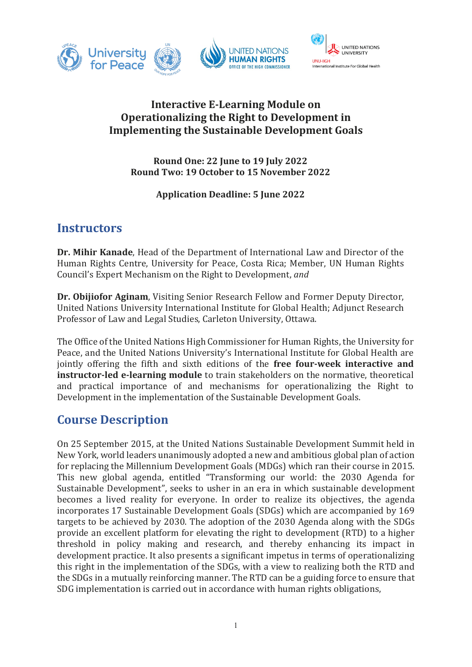

### **Interactive E-Learning Module on Operationalizing the Right to Development in Implementing the Sustainable Development Goals**

**Round One: 22 June to 19 July 2022 Round Two: 19 October to 15 November 2022**

**Application Deadline: 5 June 2022**

### **Instructors**

**Dr. Mihir Kanade**, Head of the Department of International Law and Director of the Human Rights Centre, University for Peace, Costa Rica; Member, UN Human Rights Council's Expert Mechanism on the Right to Development, *and*

**Dr. Obijiofor Aginam**, Visiting Senior Research Fellow and Former Deputy Director, United Nations University International Institute for Global Health; Adjunct Research Professor of Law and Legal Studies, Carleton University, Ottawa.

The Office of the United Nations High Commissioner for Human Rights, the University for Peace, and the United Nations University's International Institute for Global Health are jointly offering the fifth and sixth editions of the **free four-week interactive and instructor-led e-learning module** to train stakeholders on the normative, theoretical and practical importance of and mechanisms for operationalizing the Right to Development in the implementation of the Sustainable Development Goals.

## **Course Description**

On 25 September 2015, at the United Nations Sustainable Development Summit held in New York, world leaders unanimously adopted a new and ambitious global plan of action for replacing the Millennium Development Goals (MDGs) which ran their course in 2015. This new global agenda, entitled "Transforming our world: the 2030 Agenda for Sustainable Development", seeks to usher in an era in which sustainable development becomes a lived reality for everyone. In order to realize its objectives, the agenda incorporates 17 Sustainable Development Goals (SDGs) which are accompanied by 169 targets to be achieved by 2030. The adoption of the 2030 Agenda along with the SDGs provide an excellent platform for elevating the right to development (RTD) to a higher threshold in policy making and research, and thereby enhancing its impact in development practice. It also presents a significant impetus in terms of operationalizing this right in the implementation of the SDGs, with a view to realizing both the RTD and the SDGs in a mutually reinforcing manner. The RTD can be a guiding force to ensure that SDG implementation is carried out in accordance with human rights obligations,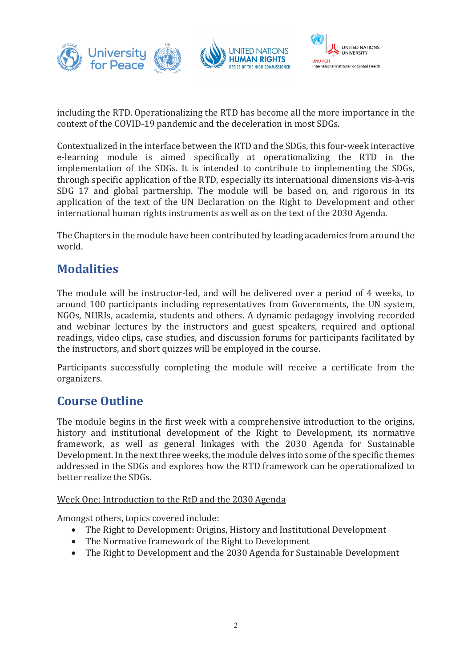

including the RTD. Operationalizing the RTD has become all the more importance in the context of the COVID-19 pandemic and the deceleration in most SDGs.

Contextualized in the interface between the RTD and the SDGs, this four-week interactive e-learning module is aimed specifically at operationalizing the RTD in the implementation of the SDGs. It is intended to contribute to implementing the SDGs, through specific application of the RTD, especially its international dimensions vis-à-vis SDG 17 and global partnership. The module will be based on, and rigorous in its application of the text of the UN Declaration on the Right to Development and other international human rights instruments as well as on the text of the 2030 Agenda.

The Chapters in the module have been contributed by leading academics from around the world.

## **Modalities**

The module will be instructor-led, and will be delivered over a period of 4 weeks, to around 100 participants including representatives from Governments, the UN system, NGOs, NHRIs, academia, students and others. A dynamic pedagogy involving recorded and webinar lectures by the instructors and guest speakers, required and optional readings, video clips, case studies, and discussion forums for participants facilitated by the instructors, and short quizzes will be employed in the course.

Participants successfully completing the module will receive a certificate from the organizers.

### **Course Outline**

The module begins in the first week with a comprehensive introduction to the origins, history and institutional development of the Right to Development, its normative framework, as well as general linkages with the 2030 Agenda for Sustainable Development. In the next three weeks, the module delves into some of the specific themes addressed in the SDGs and explores how the RTD framework can be operationalized to better realize the SDGs.

#### Week One: Introduction to the RtD and the 2030 Agenda

Amongst others, topics covered include:

- The Right to Development: Origins, History and Institutional Development
- The Normative framework of the Right to Development
- The Right to Development and the 2030 Agenda for Sustainable Development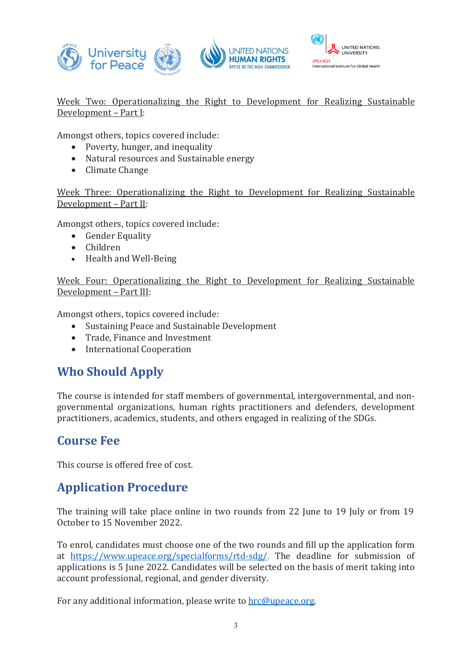



Week Two: Operationalizing the Right to Development for Realizing Sustainable Development – Part I:

Amongst others, topics covered include:

- Poverty, hunger, and inequality
- Natural resources and Sustainable energy
- Climate Change

Week Three: Operationalizing the Right to Development for Realizing Sustainable Development – Part II:

Amongst others, topics covered include:

- Gender Equality
- Children
- Health and Well-Being

Week Four: Operationalizing the Right to Development for Realizing Sustainable Development – Part III:

Amongst others, topics covered include:<br>
• Sustaining Peace and Sustainable

- Sustaining Peace and Sustainable Development
- Trade, Finance and Investment
- International Cooperation

## **Who Should Apply**

The course is intended for staff members of governmental, intergovernmental, and nongovernmental organizations, human rights practitioners and defenders, development practitioners, academics, students, and others engaged in realizing of the SDGs.

# **Course Fee**

This course is offered free of cost.

## **Application Procedure**

The training will take place online in two rounds from 22 June to 19 July or from 19 October to 15 November 2022.

To enrol, candidates must choose one of the two rounds and fill up the application form at <https://www.upeace.org/specialforms/rtd-sdg/>. The deadline for submission of applications is 5 June 2022. Candidates will be selected on the basis of merit taking into account professional, regional, and gender diversity.

For any additional information, please write to [hrc@upeace.org.](mailto:hrc@upeace.org)